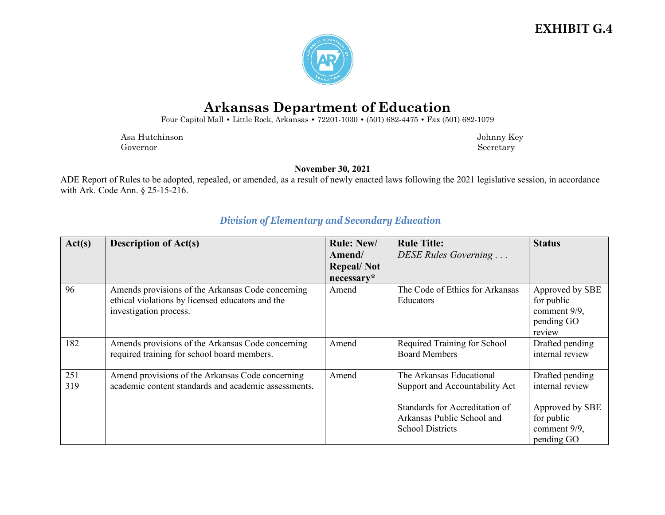### **EXHIBIT G.4**



# **Arkansas Department of Education**

Four Capitol Mall **•** Little Rock, Arkansas **•** 72201-1030 **•** (501) 682-4475 **•** Fax (501) 682-1079

Asa Hutchinson Johnny Key Governor Secretary Secretary Secretary Secretary Secretary Secretary Secretary Secretary Secretary Secretary Secretary Secretary Secretary Secretary Secretary Secretary Secretary Secretary Secretary Secretary Secretary Sec

**November 30, 2021**

ADE Report of Rules to be adopted, repealed, or amended, as a result of newly enacted laws following the 2021 legislative session, in accordance with Ark. Code Ann. § 25-15-216.

| Act(s) | <b>Description of Act(s)</b>                         | <b>Rule: New/</b> | <b>Rule Title:</b>              | <b>Status</b>   |
|--------|------------------------------------------------------|-------------------|---------------------------------|-----------------|
|        |                                                      | Amend/            | DESE Rules Governing            |                 |
|        |                                                      | <b>Repeal/Not</b> |                                 |                 |
|        |                                                      | necessary*        |                                 |                 |
| 96     | Amends provisions of the Arkansas Code concerning    | Amend             | The Code of Ethics for Arkansas | Approved by SBE |
|        | ethical violations by licensed educators and the     |                   | Educators                       | for public      |
|        | investigation process.                               |                   |                                 | comment 9/9,    |
|        |                                                      |                   |                                 | pending GO      |
|        |                                                      |                   |                                 | review          |
| 182    | Amends provisions of the Arkansas Code concerning    | Amend             | Required Training for School    | Drafted pending |
|        | required training for school board members.          |                   | <b>Board Members</b>            | internal review |
|        |                                                      |                   |                                 |                 |
| 251    | Amend provisions of the Arkansas Code concerning     | Amend             | The Arkansas Educational        | Drafted pending |
| 319    | academic content standards and academic assessments. |                   | Support and Accountability Act  | internal review |
|        |                                                      |                   |                                 |                 |
|        |                                                      |                   | Standards for Accreditation of  | Approved by SBE |
|        |                                                      |                   | Arkansas Public School and      | for public      |
|        |                                                      |                   | <b>School Districts</b>         | comment 9/9,    |
|        |                                                      |                   |                                 | pending GO      |

#### *Division of Elementary and Secondary Education*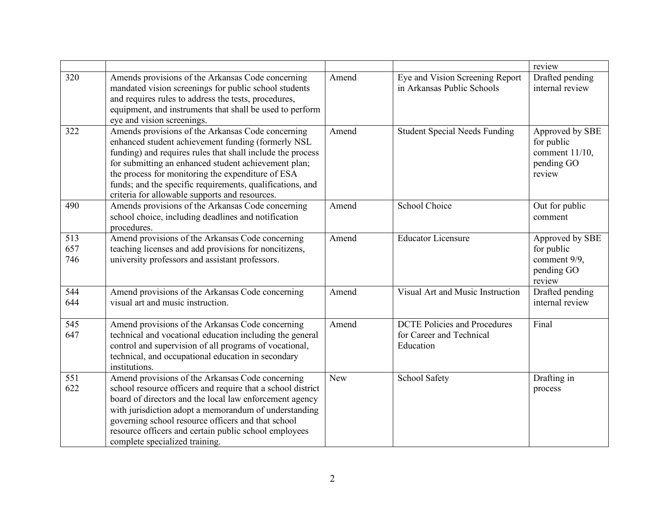|                   |                                                                                                                                                                                                                                                                                                                                                                                                   |            |                                                                              | review                                                                     |
|-------------------|---------------------------------------------------------------------------------------------------------------------------------------------------------------------------------------------------------------------------------------------------------------------------------------------------------------------------------------------------------------------------------------------------|------------|------------------------------------------------------------------------------|----------------------------------------------------------------------------|
| 320               | Amends provisions of the Arkansas Code concerning<br>mandated vision screenings for public school students<br>and requires rules to address the tests, procedures,<br>equipment, and instruments that shall be used to perform<br>eye and vision screenings.                                                                                                                                      | Amend      | Eye and Vision Screening Report<br>in Arkansas Public Schools                | Drafted pending<br>internal review                                         |
| 322               | Amends provisions of the Arkansas Code concerning<br>enhanced student achievement funding (formerly NSL<br>funding) and requires rules that shall include the process<br>for submitting an enhanced student achievement plan;<br>the process for monitoring the expenditure of ESA<br>funds; and the specific requirements, qualifications, and<br>criteria for allowable supports and resources. | Amend      | <b>Student Special Needs Funding</b>                                         | Approved by SBE<br>for public<br>comment $11/10$ ,<br>pending GO<br>review |
| 490               | Amends provisions of the Arkansas Code concerning<br>school choice, including deadlines and notification<br>procedures.                                                                                                                                                                                                                                                                           | Amend      | School Choice                                                                | Out for public<br>comment                                                  |
| 513<br>657<br>746 | Amend provisions of the Arkansas Code concerning<br>teaching licenses and add provisions for noncitizens,<br>university professors and assistant professors.                                                                                                                                                                                                                                      | Amend      | <b>Educator Licensure</b>                                                    | Approved by SBE<br>for public<br>comment 9/9,<br>pending GO<br>review      |
| 544<br>644        | Amend provisions of the Arkansas Code concerning<br>visual art and music instruction.                                                                                                                                                                                                                                                                                                             | Amend      | Visual Art and Music Instruction                                             | Drafted pending<br>internal review                                         |
| 545<br>647        | Amend provisions of the Arkansas Code concerning<br>technical and vocational education including the general<br>control and supervision of all programs of vocational,<br>technical, and occupational education in secondary<br>institutions.                                                                                                                                                     | Amend      | <b>DCTE Policies</b> and Procedures<br>for Career and Technical<br>Education | Final                                                                      |
| 551<br>622        | Amend provisions of the Arkansas Code concerning<br>school resource officers and require that a school district<br>board of directors and the local law enforcement agency<br>with jurisdiction adopt a memorandum of understanding<br>governing school resource officers and that school<br>resource officers and certain public school employees<br>complete specialized training.              | <b>New</b> | School Safety                                                                | Drafting in<br>process                                                     |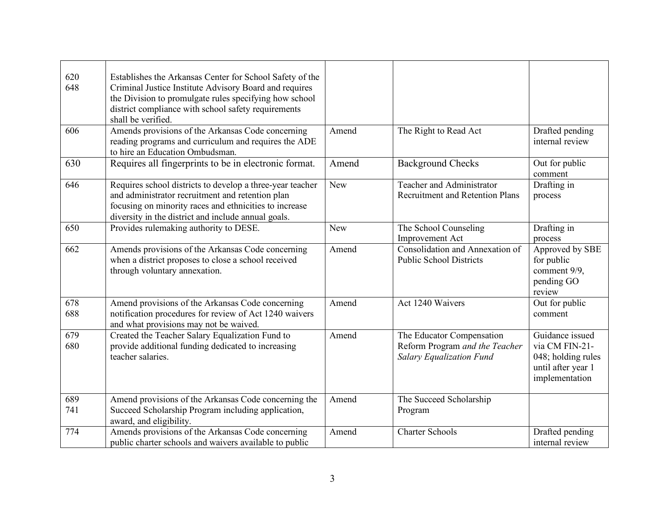| 620<br>648 | Establishes the Arkansas Center for School Safety of the<br>Criminal Justice Institute Advisory Board and requires<br>the Division to promulgate rules specifying how school<br>district compliance with school safety requirements<br>shall be verified. |            |                                                                                                |                                                                                                 |
|------------|-----------------------------------------------------------------------------------------------------------------------------------------------------------------------------------------------------------------------------------------------------------|------------|------------------------------------------------------------------------------------------------|-------------------------------------------------------------------------------------------------|
| 606        | Amends provisions of the Arkansas Code concerning<br>reading programs and curriculum and requires the ADE<br>to hire an Education Ombudsman.                                                                                                              | Amend      | The Right to Read Act                                                                          | Drafted pending<br>internal review                                                              |
| 630        | Requires all fingerprints to be in electronic format.                                                                                                                                                                                                     | Amend      | <b>Background Checks</b>                                                                       | Out for public<br>comment                                                                       |
| 646        | Requires school districts to develop a three-year teacher<br>and administrator recruitment and retention plan<br>focusing on minority races and ethnicities to increase<br>diversity in the district and include annual goals.                            | New        | Teacher and Administrator<br><b>Recruitment and Retention Plans</b>                            | Drafting in<br>process                                                                          |
| 650        | Provides rulemaking authority to DESE.                                                                                                                                                                                                                    | <b>New</b> | The School Counseling<br><b>Improvement Act</b>                                                | Drafting in<br>process                                                                          |
| 662        | Amends provisions of the Arkansas Code concerning<br>when a district proposes to close a school received<br>through voluntary annexation.                                                                                                                 | Amend      | Consolidation and Annexation of<br><b>Public School Districts</b>                              | Approved by SBE<br>for public<br>comment 9/9,<br>pending GO<br>review                           |
| 678<br>688 | Amend provisions of the Arkansas Code concerning<br>notification procedures for review of Act 1240 waivers<br>and what provisions may not be waived.                                                                                                      | Amend      | Act 1240 Waivers                                                                               | Out for public<br>comment                                                                       |
| 679<br>680 | Created the Teacher Salary Equalization Fund to<br>provide additional funding dedicated to increasing<br>teacher salaries.                                                                                                                                | Amend      | The Educator Compensation<br>Reform Program and the Teacher<br><b>Salary Equalization Fund</b> | Guidance issued<br>via CM FIN-21-<br>048; holding rules<br>until after year 1<br>implementation |
| 689<br>741 | Amend provisions of the Arkansas Code concerning the<br>Succeed Scholarship Program including application,<br>award, and eligibility.                                                                                                                     | Amend      | The Succeed Scholarship<br>Program                                                             |                                                                                                 |
| 774        | Amends provisions of the Arkansas Code concerning<br>public charter schools and waivers available to public                                                                                                                                               | Amend      | <b>Charter Schools</b>                                                                         | Drafted pending<br>internal review                                                              |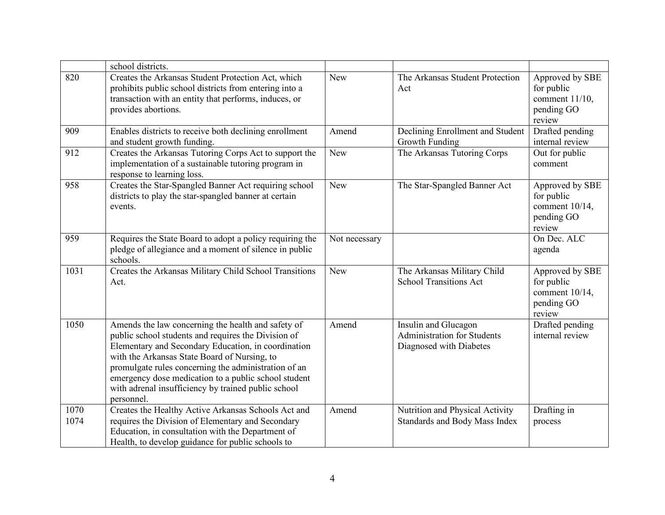|              | school districts.                                                                                                                                                                                                                                                                                                                                                                                     |               |                                                                                       |                                                                            |
|--------------|-------------------------------------------------------------------------------------------------------------------------------------------------------------------------------------------------------------------------------------------------------------------------------------------------------------------------------------------------------------------------------------------------------|---------------|---------------------------------------------------------------------------------------|----------------------------------------------------------------------------|
| 820          | Creates the Arkansas Student Protection Act, which<br>prohibits public school districts from entering into a<br>transaction with an entity that performs, induces, or<br>provides abortions.                                                                                                                                                                                                          | <b>New</b>    | The Arkansas Student Protection<br>Act                                                | Approved by SBE<br>for public<br>comment $11/10$ ,<br>pending GO<br>review |
| 909          | Enables districts to receive both declining enrollment<br>and student growth funding.                                                                                                                                                                                                                                                                                                                 | Amend         | Declining Enrollment and Student<br>Growth Funding                                    | Drafted pending<br>internal review                                         |
| 912          | Creates the Arkansas Tutoring Corps Act to support the<br>implementation of a sustainable tutoring program in<br>response to learning loss.                                                                                                                                                                                                                                                           | <b>New</b>    | The Arkansas Tutoring Corps                                                           | Out for public<br>comment                                                  |
| 958          | Creates the Star-Spangled Banner Act requiring school<br>districts to play the star-spangled banner at certain<br>events.                                                                                                                                                                                                                                                                             | <b>New</b>    | The Star-Spangled Banner Act                                                          | Approved by SBE<br>for public<br>comment 10/14,<br>pending GO<br>review    |
| 959          | Requires the State Board to adopt a policy requiring the<br>pledge of allegiance and a moment of silence in public<br>schools.                                                                                                                                                                                                                                                                        | Not necessary |                                                                                       | On Dec. ALC<br>agenda                                                      |
| 1031         | Creates the Arkansas Military Child School Transitions<br>Act.                                                                                                                                                                                                                                                                                                                                        | <b>New</b>    | The Arkansas Military Child<br><b>School Transitions Act</b>                          | Approved by SBE<br>for public<br>comment 10/14,<br>pending GO<br>review    |
| 1050         | Amends the law concerning the health and safety of<br>public school students and requires the Division of<br>Elementary and Secondary Education, in coordination<br>with the Arkansas State Board of Nursing, to<br>promulgate rules concerning the administration of an<br>emergency dose medication to a public school student<br>with adrenal insufficiency by trained public school<br>personnel. | Amend         | Insulin and Glucagon<br><b>Administration for Students</b><br>Diagnosed with Diabetes | Drafted pending<br>internal review                                         |
| 1070<br>1074 | Creates the Healthy Active Arkansas Schools Act and<br>requires the Division of Elementary and Secondary<br>Education, in consultation with the Department of<br>Health, to develop guidance for public schools to                                                                                                                                                                                    | Amend         | Nutrition and Physical Activity<br>Standards and Body Mass Index                      | Drafting in<br>process                                                     |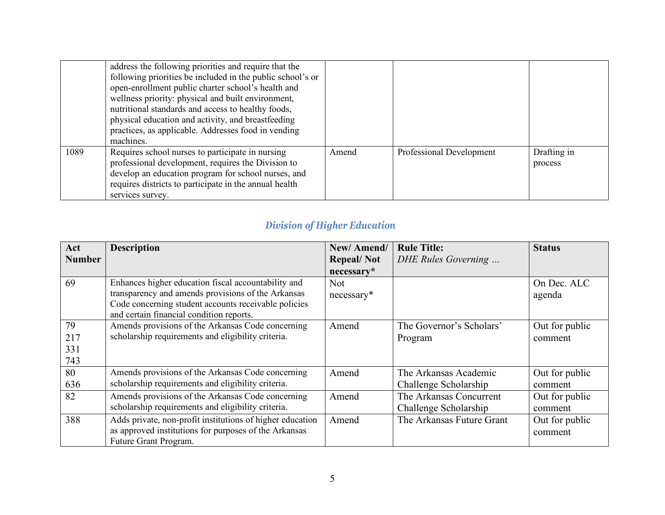|      | address the following priorities and require that the<br>following priorities be included in the public school's or<br>open-enrollment public charter school's health and<br>wellness priority: physical and built environment,<br>nutritional standards and access to healthy foods,<br>physical education and activity, and breastfeeding<br>practices, as applicable. Addresses food in vending<br>machines. |       |                          |                        |
|------|-----------------------------------------------------------------------------------------------------------------------------------------------------------------------------------------------------------------------------------------------------------------------------------------------------------------------------------------------------------------------------------------------------------------|-------|--------------------------|------------------------|
| 1089 | Requires school nurses to participate in nursing<br>professional development, requires the Division to<br>develop an education program for school nurses, and<br>requires districts to participate in the annual health<br>services survey.                                                                                                                                                                     | Amend | Professional Development | Drafting in<br>process |

## *Division of Higher Education*

| Act           | <b>Description</b>                                        | New/Amend/        | <b>Rule Title:</b>        | <b>Status</b>  |
|---------------|-----------------------------------------------------------|-------------------|---------------------------|----------------|
| <b>Number</b> |                                                           | <b>Repeal/Not</b> | DHE Rules Governing       |                |
|               |                                                           | necessary*        |                           |                |
| 69            | Enhances higher education fiscal accountability and       | Not.              |                           | On Dec. ALC    |
|               | transparency and amends provisions of the Arkansas        | $necessary*$      |                           | agenda         |
|               | Code concerning student accounts receivable policies      |                   |                           |                |
|               | and certain financial condition reports.                  |                   |                           |                |
| 79            | Amends provisions of the Arkansas Code concerning         | Amend             | The Governor's Scholars'  | Out for public |
| 217           | scholarship requirements and eligibility criteria.        |                   | Program                   | comment        |
| 331           |                                                           |                   |                           |                |
| 743           |                                                           |                   |                           |                |
| 80            | Amends provisions of the Arkansas Code concerning         | Amend             | The Arkansas Academic     | Out for public |
| 636           | scholarship requirements and eligibility criteria.        |                   | Challenge Scholarship     | comment        |
| 82            | Amends provisions of the Arkansas Code concerning         | Amend             | The Arkansas Concurrent   | Out for public |
|               | scholarship requirements and eligibility criteria.        |                   | Challenge Scholarship     | comment        |
| 388           | Adds private, non-profit institutions of higher education | Amend             | The Arkansas Future Grant | Out for public |
|               | as approved institutions for purposes of the Arkansas     |                   |                           | comment        |
|               | Future Grant Program.                                     |                   |                           |                |